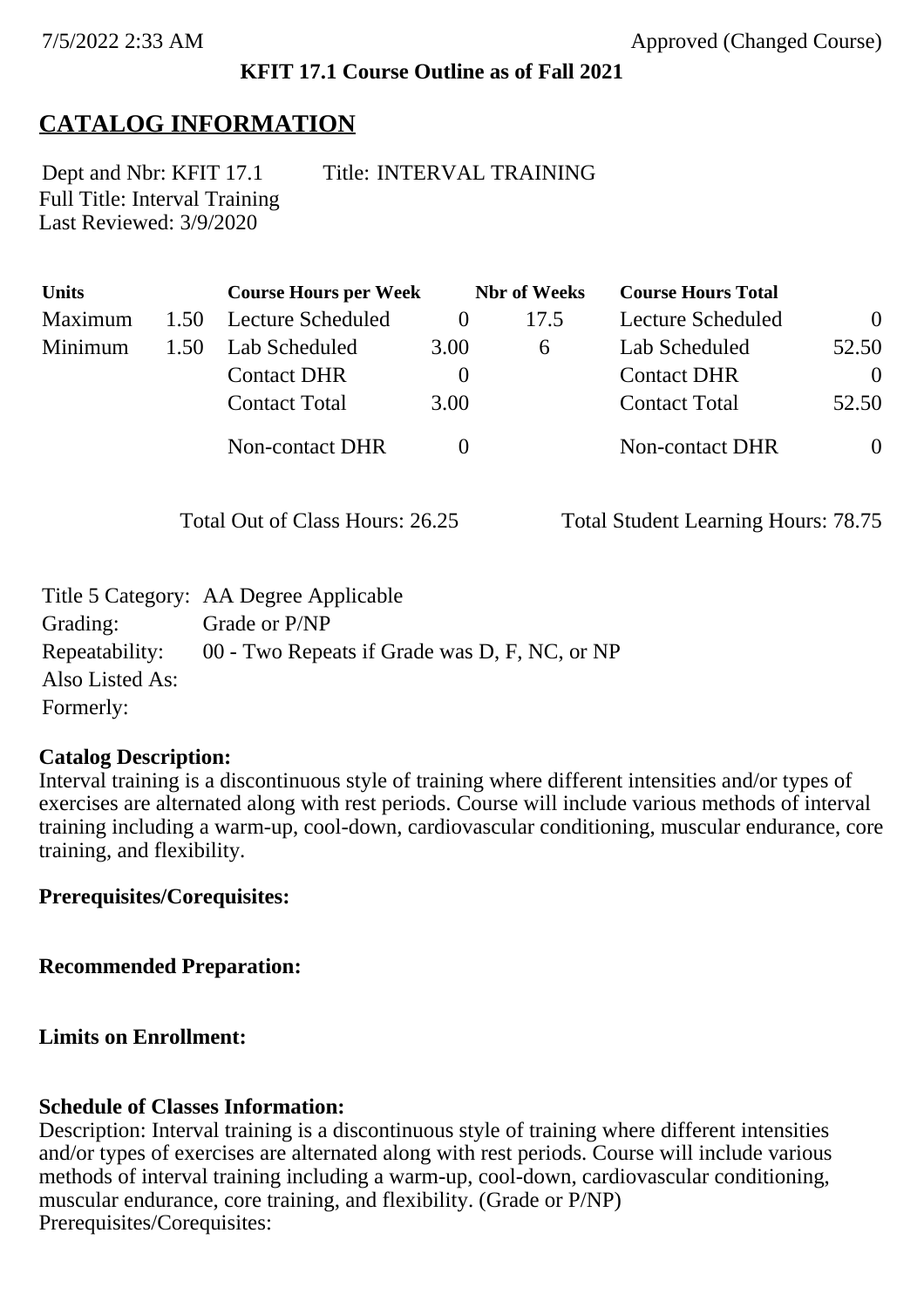### **KFIT 17.1 Course Outline as of Fall 2021**

# **CATALOG INFORMATION**

Full Title: Interval Training Last Reviewed: 3/9/2020 Dept and Nbr: KFIT 17.1 Title: INTERVAL TRAINING

| <b>Units</b>   |      | <b>Course Hours per Week</b> |          | <b>Nbr</b> of Weeks | <b>Course Hours Total</b> |                |
|----------------|------|------------------------------|----------|---------------------|---------------------------|----------------|
| <b>Maximum</b> | 1.50 | Lecture Scheduled            |          | 17.5                | Lecture Scheduled         | $\overline{0}$ |
| Minimum        | 1.50 | Lab Scheduled                | 3.00     | $\mathfrak b$       | Lab Scheduled             | 52.50          |
|                |      | <b>Contact DHR</b>           | $\theta$ |                     | <b>Contact DHR</b>        | $\theta$       |
|                |      | <b>Contact Total</b>         | 3.00     |                     | <b>Contact Total</b>      | 52.50          |
|                |      | <b>Non-contact DHR</b>       |          |                     | Non-contact DHR           | $\overline{0}$ |

Total Out of Class Hours: 26.25 Total Student Learning Hours: 78.75

|                 | Title 5 Category: AA Degree Applicable        |
|-----------------|-----------------------------------------------|
| Grading:        | Grade or P/NP                                 |
| Repeatability:  | 00 - Two Repeats if Grade was D, F, NC, or NP |
| Also Listed As: |                                               |
| Formerly:       |                                               |

#### **Catalog Description:**

Interval training is a discontinuous style of training where different intensities and/or types of exercises are alternated along with rest periods. Course will include various methods of interval training including a warm-up, cool-down, cardiovascular conditioning, muscular endurance, core training, and flexibility.

**Prerequisites/Corequisites:**

**Recommended Preparation:**

**Limits on Enrollment:**

#### **Schedule of Classes Information:**

Description: Interval training is a discontinuous style of training where different intensities and/or types of exercises are alternated along with rest periods. Course will include various methods of interval training including a warm-up, cool-down, cardiovascular conditioning, muscular endurance, core training, and flexibility. (Grade or P/NP) Prerequisites/Corequisites: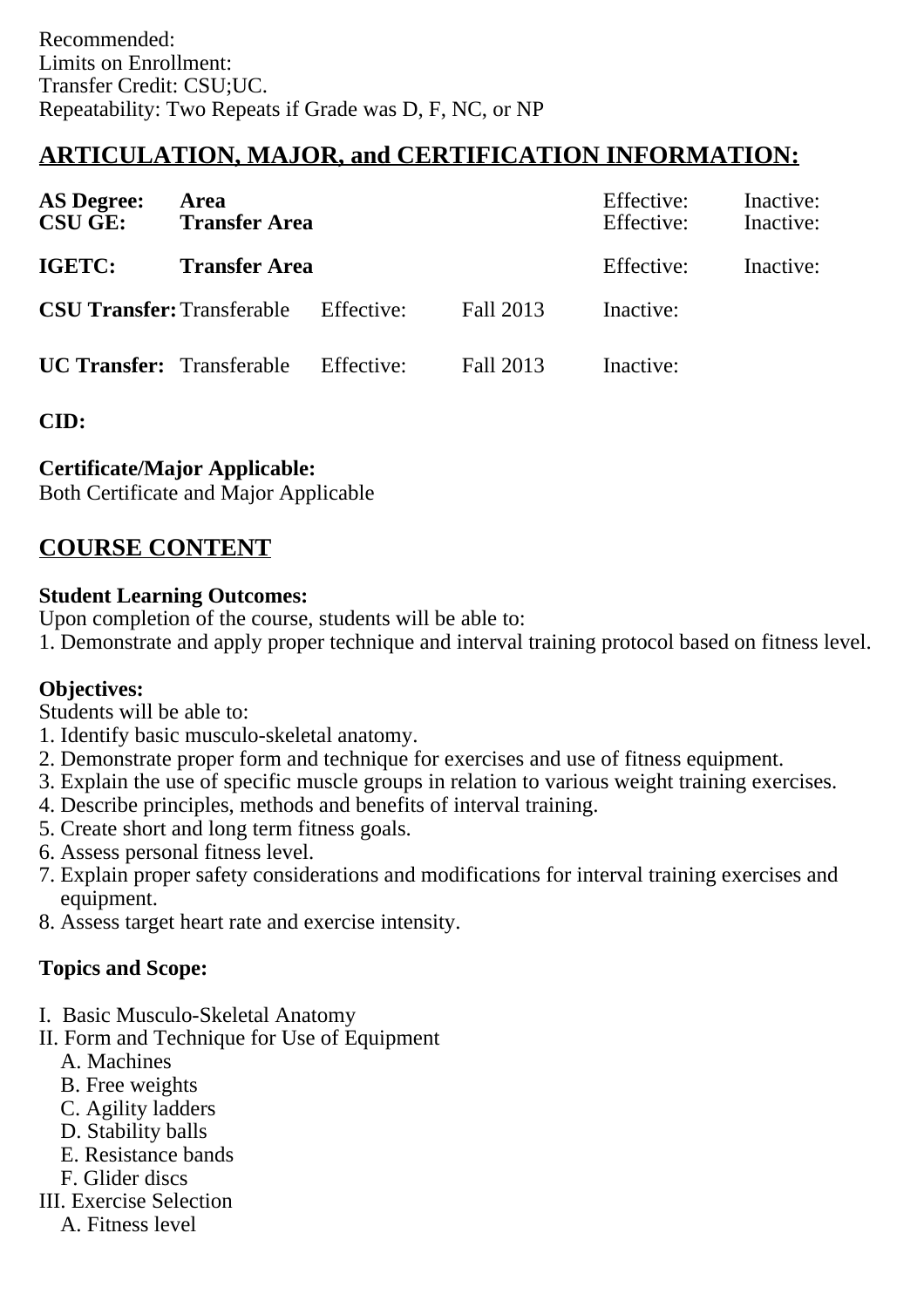# **ARTICULATION, MAJOR, and CERTIFICATION INFORMATION:**

| <b>AS Degree:</b><br><b>CSU GE:</b> | Area<br><b>Transfer Area</b>                 |            |           | Effective:<br>Effective: | Inactive:<br>Inactive: |
|-------------------------------------|----------------------------------------------|------------|-----------|--------------------------|------------------------|
| IGETC:                              | <b>Transfer Area</b>                         |            |           | Effective:               | Inactive:              |
|                                     | <b>CSU Transfer:</b> Transferable Effective: |            | Fall 2013 | Inactive:                |                        |
| <b>UC Transfer:</b> Transferable    |                                              | Effective: | Fall 2013 | Inactive:                |                        |

**CID:**

## **Certificate/Major Applicable:**

[Both Certificate and Major Applicable](SR_ClassCheck.aspx?CourseKey=KFIT17.1)

## **COURSE CONTENT**

### **Student Learning Outcomes:**

Upon completion of the course, students will be able to:

1. Demonstrate and apply proper technique and interval training protocol based on fitness level.

### **Objectives:**

Students will be able to:

- 1. Identify basic musculo-skeletal anatomy.
- 2. Demonstrate proper form and technique for exercises and use of fitness equipment.
- 3. Explain the use of specific muscle groups in relation to various weight training exercises.
- 4. Describe principles, methods and benefits of interval training.
- 5. Create short and long term fitness goals.
- 6. Assess personal fitness level.
- 7. Explain proper safety considerations and modifications for interval training exercises and equipment.
- 8. Assess target heart rate and exercise intensity.

## **Topics and Scope:**

- I. Basic Musculo-Skeletal Anatomy
- II. Form and Technique for Use of Equipment
	- A. Machines
	- B. Free weights
	- C. Agility ladders
	- D. Stability balls
	- E. Resistance bands
	- F. Glider discs
- III. Exercise Selection
	- A. Fitness level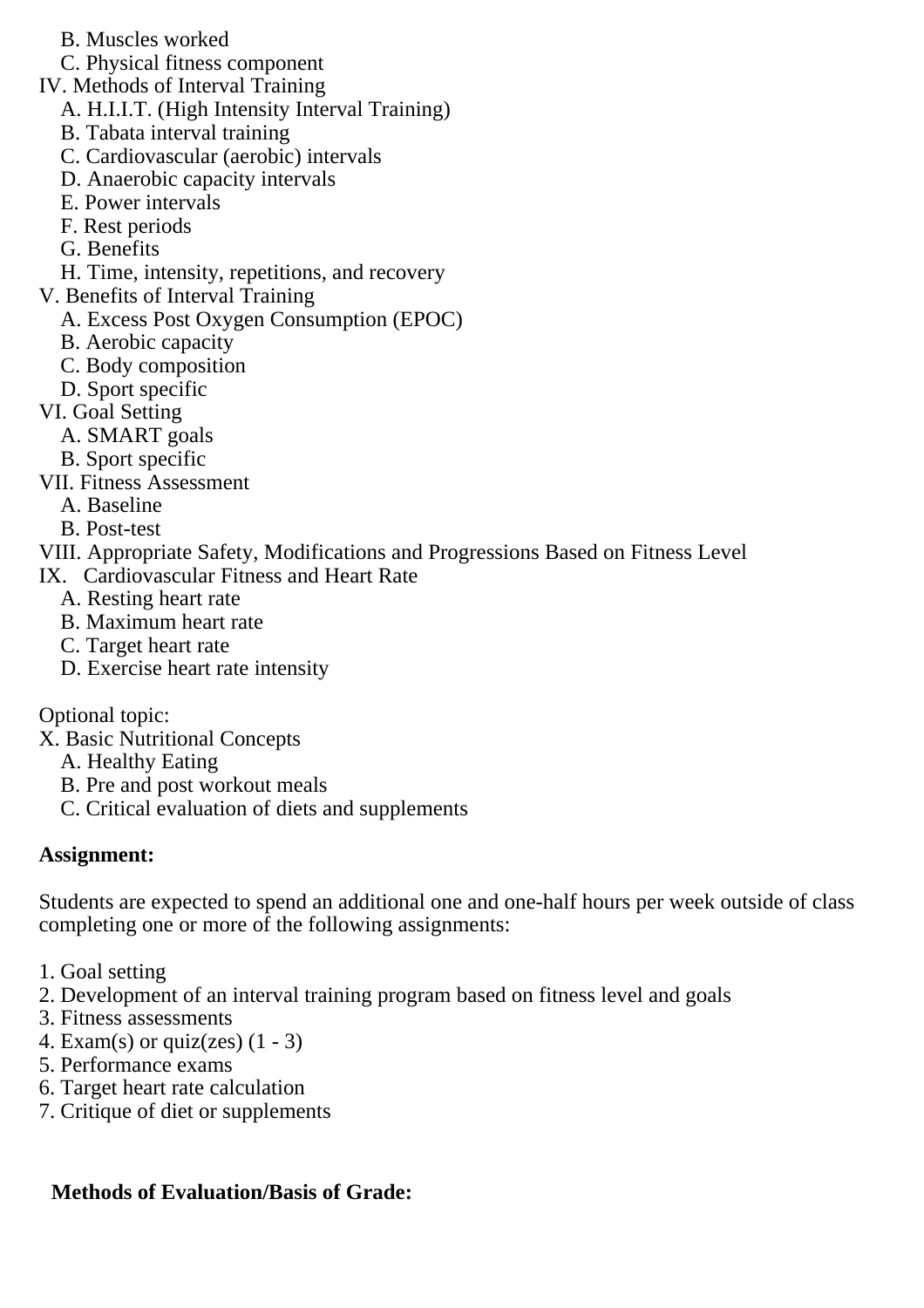- B. Muscles worked
- C. Physical fitness component
- IV. Methods of Interval Training
	- A. H.I.I.T. (High Intensity Interval Training)
	- B. Tabata interval training
	- C. Cardiovascular (aerobic) intervals
	- D. Anaerobic capacity intervals
	- E. Power intervals
	- F. Rest periods
	- G. Benefits
- H. Time, intensity, repetitions, and recovery
- V. Benefits of Interval Training
	- A. Excess Post Oxygen Consumption (EPOC)
	- B. Aerobic capacity
	- C. Body composition
	- D. Sport specific
- VI. Goal Setting
	- A. SMART goals
	- B. Sport specific
- VII. Fitness Assessment
	- A. Baseline
	- B. Post-test
- VIII. Appropriate Safety, Modifications and Progressions Based on Fitness Level
- IX. Cardiovascular Fitness and Heart Rate
	- A. Resting heart rate
	- B. Maximum heart rate
	- C. Target heart rate
	- D. Exercise heart rate intensity

Optional topic:

- X. Basic Nutritional Concepts
	- A. Healthy Eating
	- B. Pre and post workout meals
	- C. Critical evaluation of diets and supplements

### **Assignment:**

Students are expected to spend an additional one and one-half hours per week outside of class completing one or more of the following assignments:

- 1. Goal setting
- 2. Development of an interval training program based on fitness level and goals
- 3. Fitness assessments
- 4. Exam(s) or quiz(zes)  $(1 3)$
- 5. Performance exams
- 6. Target heart rate calculation
- 7. Critique of diet or supplements

## **Methods of Evaluation/Basis of Grade:**